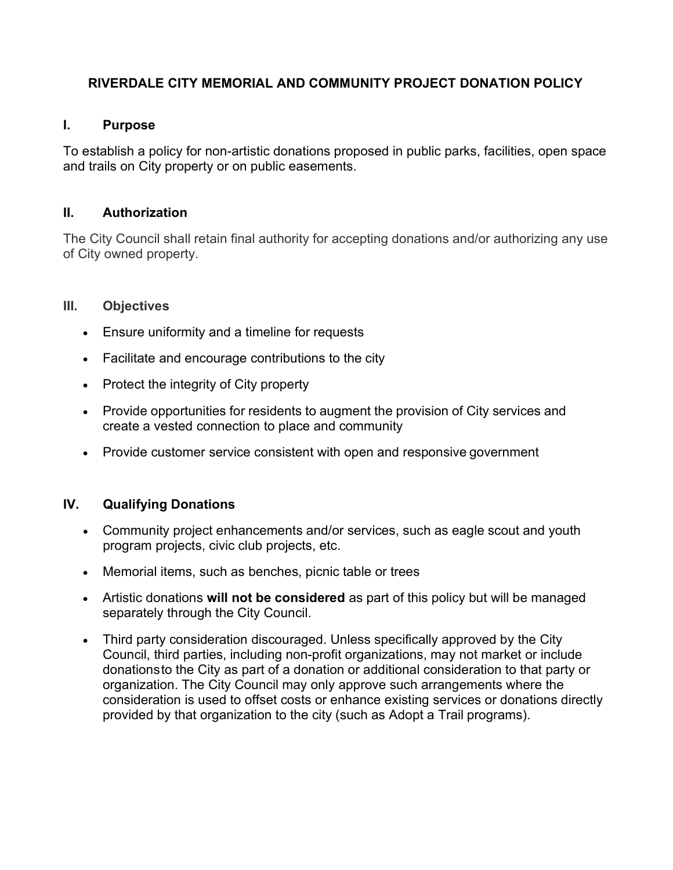## RIVERDALE CITY MEMORIAL AND COMMUNITY PROJECT DONATION POLICY

## I. Purpose

To establish a policy for non-artistic donations proposed in public parks, facilities, open space and trails on City property or on public easements.

#### II. Authorization

The City Council shall retain final authority for accepting donations and/or authorizing any use of City owned property.

#### III. Objectives

- Ensure uniformity and a timeline for requests
- Facilitate and encourage contributions to the city
- Protect the integrity of City property
- Provide opportunities for residents to augment the provision of City services and create a vested connection to place and community
- Provide customer service consistent with open and responsive government

## IV. Qualifying Donations

- Community project enhancements and/or services, such as eagle scout and youth program projects, civic club projects, etc.
- Memorial items, such as benches, picnic table or trees
- Artistic donations will not be considered as part of this policy but will be managed separately through the City Council.
- Third party consideration discouraged. Unless specifically approved by the City Council, third parties, including non-profit organizations, may not market or include donations to the City as part of a donation or additional consideration to that party or organization. The City Council may only approve such arrangements where the consideration is used to offset costs or enhance existing services or donations directly provided by that organization to the city (such as Adopt a Trail programs).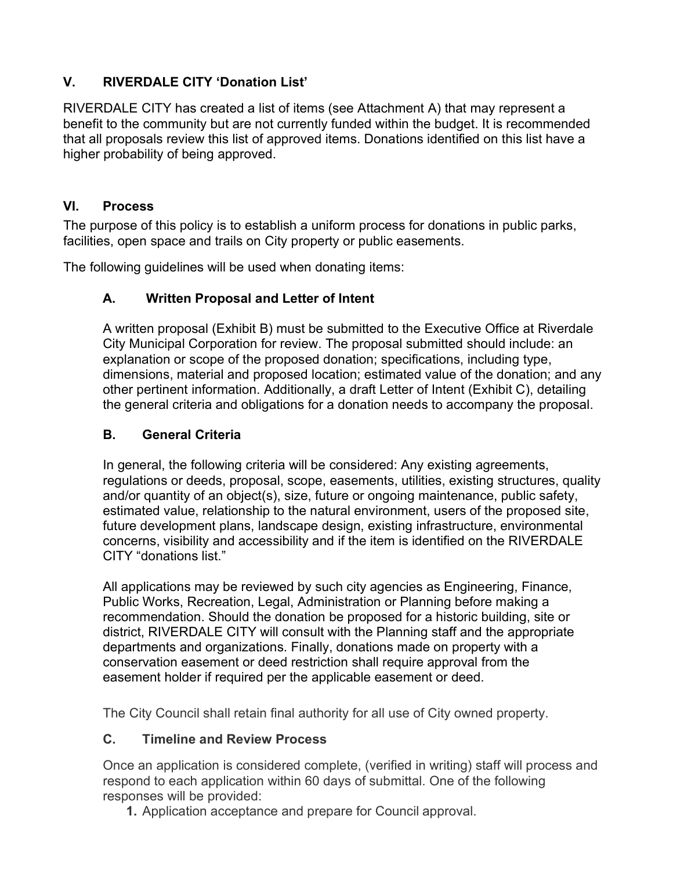# V. RIVERDALE CITY 'Donation List'

RIVERDALE CITY has created a list of items (see Attachment A) that may represent a benefit to the community but are not currently funded within the budget. It is recommended that all proposals review this list of approved items. Donations identified on this list have a higher probability of being approved.

## VI. Process

The purpose of this policy is to establish a uniform process for donations in public parks, facilities, open space and trails on City property or public easements.

The following guidelines will be used when donating items:

# A. Written Proposal and Letter of Intent

A written proposal (Exhibit B) must be submitted to the Executive Office at Riverdale City Municipal Corporation for review. The proposal submitted should include: an explanation or scope of the proposed donation; specifications, including type, dimensions, material and proposed location; estimated value of the donation; and any other pertinent information. Additionally, a draft Letter of Intent (Exhibit C), detailing the general criteria and obligations for a donation needs to accompany the proposal.

## B. General Criteria

In general, the following criteria will be considered: Any existing agreements, regulations or deeds, proposal, scope, easements, utilities, existing structures, quality and/or quantity of an object(s), size, future or ongoing maintenance, public safety, estimated value, relationship to the natural environment, users of the proposed site, future development plans, landscape design, existing infrastructure, environmental concerns, visibility and accessibility and if the item is identified on the RIVERDALE CITY "donations list."

All applications may be reviewed by such city agencies as Engineering, Finance, Public Works, Recreation, Legal, Administration or Planning before making a recommendation. Should the donation be proposed for a historic building, site or district, RIVERDALE CITY will consult with the Planning staff and the appropriate departments and organizations. Finally, donations made on property with a conservation easement or deed restriction shall require approval from the easement holder if required per the applicable easement or deed.

The City Council shall retain final authority for all use of City owned property.

## C. Timeline and Review Process

Once an application is considered complete, (verified in writing) staff will process and respond to each application within 60 days of submittal. One of the following responses will be provided:

1. Application acceptance and prepare for Council approval.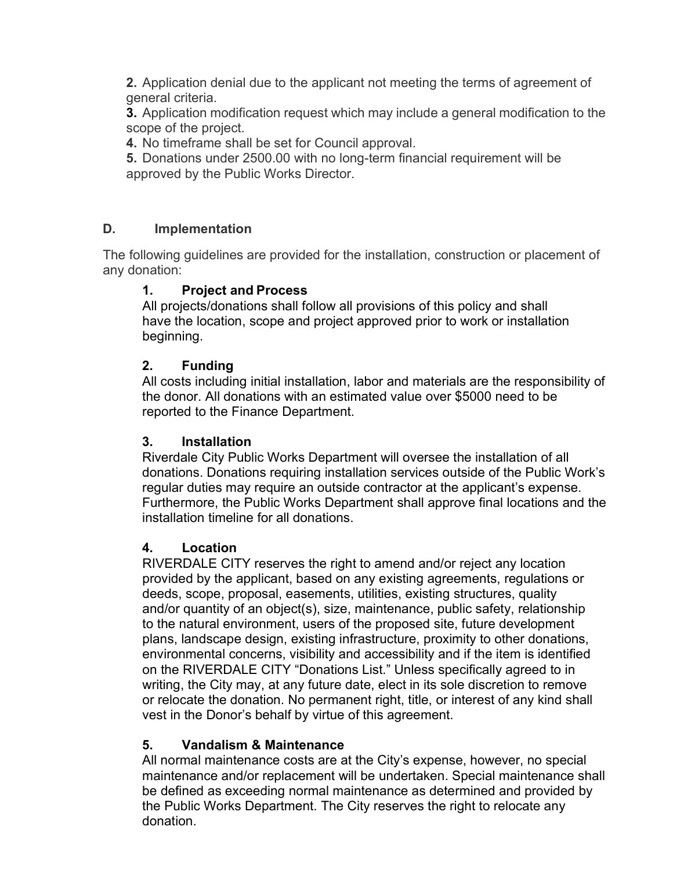2. Application denial due to the applicant not meeting the terms of agreement of general criteria.

3. Application modification request which may include a general modification to the scope of the project.

4. No timeframe shall be set for Council approval.

5. Donations under 2500.00 with no long-term financial requirement will be approved by the Public Works Director.

# D. Implementation

The following guidelines are provided for the installation, construction or placement of any donation:

# 1. Project and Process

All projects/donations shall follow all provisions of this policy and shall have the location, scope and project approved prior to work or installation beginning.

# 2. Funding

All costs including initial installation, labor and materials are the responsibility of the donor. All donations with an estimated value over \$5000 need to be reported to the Finance Department.

## 3. Installation

Riverdale City Public Works Department will oversee the installation of all donations. Donations requiring installation services outside of the Public Work's regular duties may require an outside contractor at the applicant's expense. Furthermore, the Public Works Department shall approve final locations and the installation timeline for all donations.

## 4. Location

RIVERDALE CITY reserves the right to amend and/or reject any location provided by the applicant, based on any existing agreements, regulations or deeds, scope, proposal, easements, utilities, existing structures, quality and/or quantity of an object(s), size, maintenance, public safety, relationship to the natural environment, users of the proposed site, future development plans, landscape design, existing infrastructure, proximity to other donations, environmental concerns, visibility and accessibility and if the item is identified on the RIVERDALE CITY "Donations List." Unless specifically agreed to in writing, the City may, at any future date, elect in its sole discretion to remove or relocate the donation. No permanent right, title, or interest of any kind shall vest in the Donor's behalf by virtue of this agreement.

## 5. Vandalism & Maintenance

All normal maintenance costs are at the City's expense, however, no special maintenance and/or replacement will be undertaken. Special maintenance shall be defined as exceeding normal maintenance as determined and provided by the Public Works Department. The City reserves the right to relocate any donation.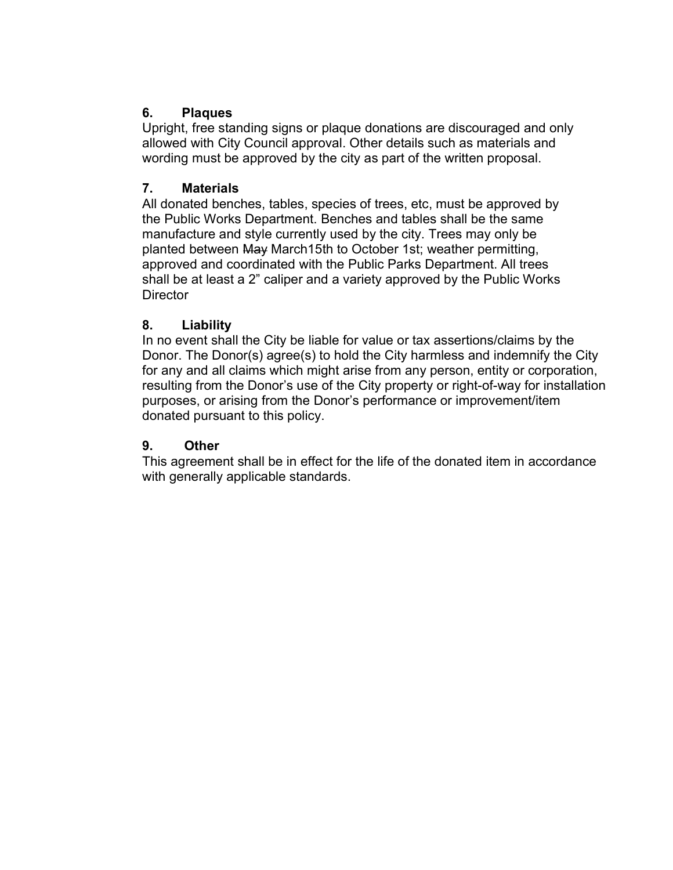## 6. Plaques

Upright, free standing signs or plaque donations are discouraged and only allowed with City Council approval. Other details such as materials and wording must be approved by the city as part of the written proposal.

## 7. Materials

All donated benches, tables, species of trees, etc, must be approved by the Public Works Department. Benches and tables shall be the same manufacture and style currently used by the city. Trees may only be planted between May March15th to October 1st; weather permitting, approved and coordinated with the Public Parks Department. All trees shall be at least a 2" caliper and a variety approved by the Public Works **Director** 

#### 8. Liability

In no event shall the City be liable for value or tax assertions/claims by the Donor. The Donor(s) agree(s) to hold the City harmless and indemnify the City for any and all claims which might arise from any person, entity or corporation, resulting from the Donor's use of the City property or right-of-way for installation purposes, or arising from the Donor's performance or improvement/item donated pursuant to this policy.

## 9. Other

This agreement shall be in effect for the life of the donated item in accordance with generally applicable standards.